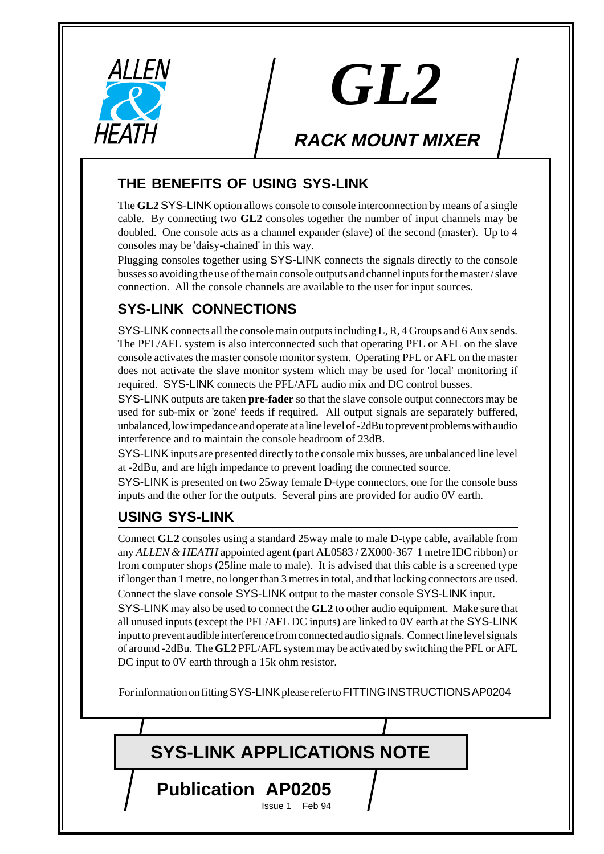

# *GL2*

## **RACK MOUNT MIXER**

#### **THE BENEFITS OF USING SYS-LINK**

The **GL2** SYS-LINK option allows console to console interconnection by means of a single cable. By connecting two **GL2** consoles together the number of input channels may be doubled. One console acts as a channel expander (slave) of the second (master). Up to 4 consoles may be 'daisy-chained' in this way.

Plugging consoles together using SYS-LINK connects the signals directly to the console busses so avoiding the use of the main console outputs and channel inputs for the master / slave connection. All the console channels are available to the user for input sources.

### **SYS-LINK CONNECTIONS**

SYS-LINK connects all the console main outputs including L, R, 4 Groups and 6 Aux sends. The PFL/AFL system is also interconnected such that operating PFL or AFL on the slave console activates the master console monitor system. Operating PFL or AFL on the master does not activate the slave monitor system which may be used for 'local' monitoring if required. SYS-LINK connects the PFL/AFL audio mix and DC control busses.

SYS-LINK outputs are taken **pre-fader** so that the slave console output connectors may be used for sub-mix or 'zone' feeds if required. All output signals are separately buffered, unbalanced, low impedance and operate at a line level of -2dBu to prevent problems with audio interference and to maintain the console headroom of 23dB.

SYS-LINK inputs are presented directly to the console mix busses, are unbalanced line level at -2dBu, and are high impedance to prevent loading the connected source.

SYS-LINK is presented on two 25way female D-type connectors, one for the console buss inputs and the other for the outputs. Several pins are provided for audio 0V earth.

#### **USING SYS-LINK**

Connect **GL2** consoles using a standard 25way male to male D-type cable, available from any *ALLEN & HEATH* appointed agent (part AL0583 / ZX000-367 1 metre IDC ribbon) or from computer shops (25line male to male). It is advised that this cable is a screened type if longer than 1 metre, no longer than 3 metres in total, and that locking connectors are used. Connect the slave console SYS-LINK output to the master console SYS-LINK input. SYS-LINK may also be used to connect the **GL2** to other audio equipment. Make sure that all unused inputs (except the PFL/AFL DC inputs) are linked to 0V earth at the SYS-LINK input to prevent audible interference from connected audio signals. Connect line level signals of around -2dBu. The **GL2** PFL/AFL system may be activated by switching the PFL or AFL DC input to 0V earth through a 15k ohm resistor.

For information on fitting SYS-LINK please refer to FITTING INSTRUCTIONS AP0204